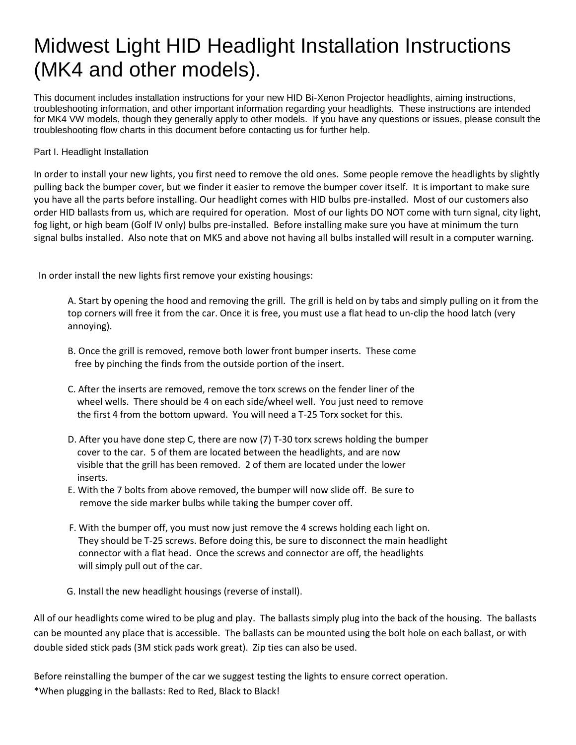# Midwest Light HID Headlight Installation Instructions (MK4 and other models).

This document includes installation instructions for your new HID Bi-Xenon Projector headlights, aiming instructions, troubleshooting information, and other important information regarding your headlights. These instructions are intended for MK4 VW models, though they generally apply to other models. If you have any questions or issues, please consult the troubleshooting flow charts in this document before contacting us for further help.

## Part I. Headlight Installation

In order to install your new lights, you first need to remove the old ones. Some people remove the headlights by slightly pulling back the bumper cover, but we finder it easier to remove the bumper cover itself. It is important to make sure you have all the parts before installing. Our headlight comes with HID bulbs pre-installed. Most of our customers also order HID ballasts from us, which are required for operation. Most of our lights DO NOT come with turn signal, city light, fog light, or high beam (Golf IV only) bulbs pre-installed. Before installing make sure you have at minimum the turn signal bulbs installed. Also note that on MK5 and above not having all bulbs installed will result in a computer warning.

In order install the new lights first remove your existing housings:

A. Start by opening the hood and removing the grill. The grill is held on by tabs and simply pulling on it from the top corners will free it from the car. Once it is free, you must use a flat head to un-clip the hood latch (very annoying).

- B. Once the grill is removed, remove both lower front bumper inserts. These come free by pinching the finds from the outside portion of the insert.
- C. After the inserts are removed, remove the torx screws on the fender liner of the wheel wells. There should be 4 on each side/wheel well. You just need to remove the first 4 from the bottom upward. You will need a T-25 Torx socket for this.
- D. After you have done step C, there are now (7) T-30 torx screws holding the bumper cover to the car. 5 of them are located between the headlights, and are now visible that the grill has been removed. 2 of them are located under the lower inserts.
- E. With the 7 bolts from above removed, the bumper will now slide off. Be sure to remove the side marker bulbs while taking the bumper cover off.
- F. With the bumper off, you must now just remove the 4 screws holding each light on. They should be T-25 screws. Before doing this, be sure to disconnect the main headlight connector with a flat head. Once the screws and connector are off, the headlights will simply pull out of the car.
- G. Install the new headlight housings (reverse of install).

All of our headlights come wired to be plug and play. The ballasts simply plug into the back of the housing. The ballasts can be mounted any place that is accessible. The ballasts can be mounted using the bolt hole on each ballast, or with double sided stick pads (3M stick pads work great). Zip ties can also be used.

Before reinstalling the bumper of the car we suggest testing the lights to ensure correct operation. \*When plugging in the ballasts: Red to Red, Black to Black!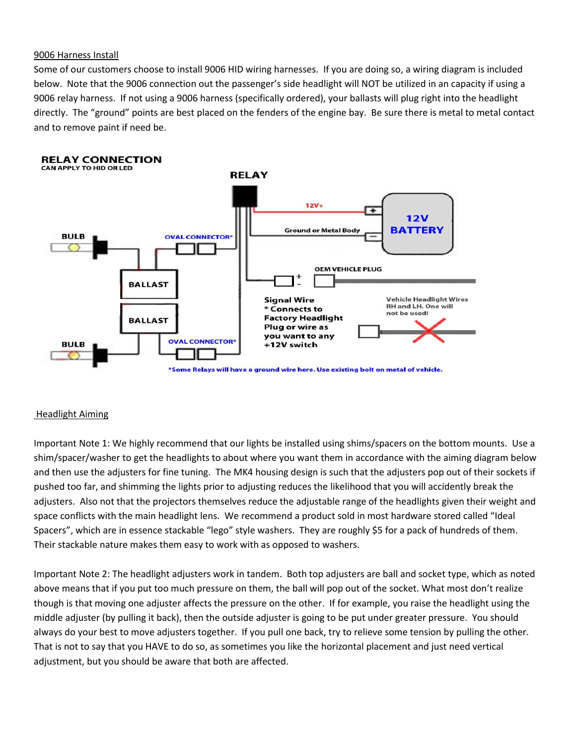### 9006 Harness Install

Some of our customers choose to install 9006 HID wiring harnesses. If you are doing so, a wiring diagram is included below. Note that the 9006 connection out the passenger's side headlight will NOT be utilized in an capacity if using a 9006 relay harness. If not using a 9006 harness (specifically ordered), your ballasts will plug right into the headlight directly. The "ground" points are best placed on the fenders of the engine bay. Be sure there is metal to metal contact and to remove paint if need be.



### Headlight Aiming

Important Note 1: We highly recommend that our lights be installed using shims/spacers on the bottom mounts. Use a shim/spacer/washer to get the headlights to about where you want them in accordance with the aiming diagram below and then use the adjusters for fine tuning. The MK4 housing design is such that the adjusters pop out of their sockets if pushed too far, and shimming the lights prior to adjusting reduces the likelihood that you will accidently break the adjusters. Also not that the projectors themselves reduce the adjustable range of the headlights given their weight and space conflicts with the main headlight lens. We recommend a product sold in most hardware stored called "Ideal Spacers", which are in essence stackable "lego" style washers. They are roughly \$5 for a pack of hundreds of them. Their stackable nature makes them easy to work with as opposed to washers.

Important Note 2: The headlight adjusters work in tandem. Both top adjusters are ball and socket type, which as noted above means that if you put too much pressure on them, the ball will pop out of the socket. What most don't realize though is that moving one adjuster affects the pressure on the other. If for example, you raise the headlight using the middle adjuster (by pulling it back), then the outside adjuster is going to be put under greater pressure. You should always do your best to move adjusters together. If you pull one back, try to relieve some tension by pulling the other. That is not to say that you HAVE to do so, as sometimes you like the horizontal placement and just need vertical adjustment, but you should be aware that both are affected.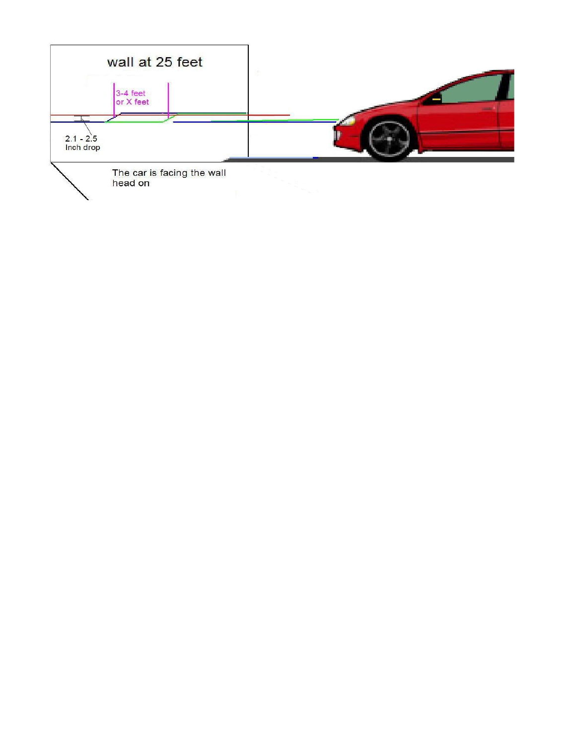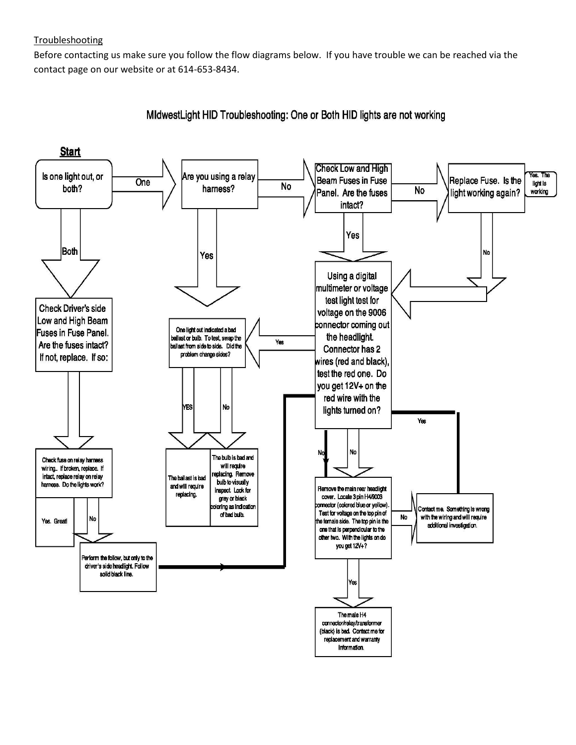## **Troubleshooting**

Before contacting us make sure you follow the flow diagrams below. If you have trouble we can be reached via the contact page on our website or at 614-653-8434.

**Start Check Low and High** Are you using a relay Is one light out, or Yes. The **Beam Fuses in Fuse** Replace Fuse. Is the One light is **No** both? harness? No Panel. Are the fuses light working again? working intact? Yes Both No Yes Using a digital multimeter or voltage test light test for **Check Driver's side** voltage on the 9006 Low and High Beam connector coming out One light out indicated a bad **Fuses in Fuse Panel.** the headlight. ballast or bulb. To test, swap the Yes Are the fuses intact? ballast from side to side. Did the Connector has 2 problem change sides? If not, replace. If so: wires (red and black), test the red one. Do you get 12V+ on the red wire with the YES No lights turned on? Yes No N The bulb is bad and Check fuse on relay harness will require wiring.. If broken, replace. If eplacing. Remove intact, replace relay on relay The ballast is bad bulb to visually harness. Do the lights work? and will require inspect. Look for Remove the main rear headlight replacing. cover. Locate 3 pin H4/9003 gray or black connector (colored blue or yellow). oring as indication Contact me. Something is wrong Test for voltage on the top pin of of bad bulb. No with the wiring and will require No Yes. Greatl the female side. The top pin is the additional investigation. one that is perpendicular to the other two. With the lights on do you get 12V+? Perform the follow, but only to the driver's side headlight. Follow solid black line. Yes The male H4 connector/relay/transformer

(black) is bad. Contact me for replacement and warranty Information.

MidwestLight HID Troubleshooting: One or Both HID lights are not working